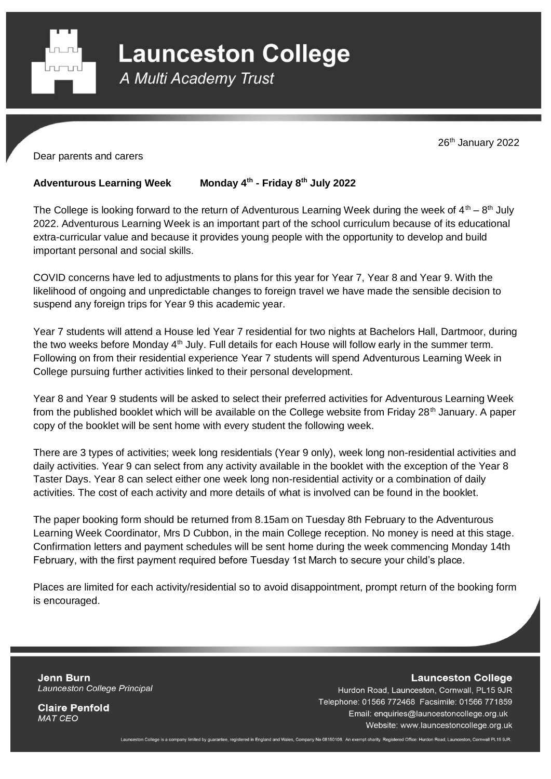

**Launceston College** 

A Multi Academy Trust

26<sup>th</sup> January 2022

Dear parents and carers

## **Adventurous Learning Week th - Friday 8 th July 2022**

The College is looking forward to the return of Adventurous Learning Week during the week of  $4^{\text{th}} - 8^{\text{th}}$  July 2022. Adventurous Learning Week is an important part of the school curriculum because of its educational extra-curricular value and because it provides young people with the opportunity to develop and build important personal and social skills.

COVID concerns have led to adjustments to plans for this year for Year 7, Year 8 and Year 9. With the likelihood of ongoing and unpredictable changes to foreign travel we have made the sensible decision to suspend any foreign trips for Year 9 this academic year.

Year 7 students will attend a House led Year 7 residential for two nights at Bachelors Hall, Dartmoor, during the two weeks before Monday 4<sup>th</sup> July. Full details for each House will follow early in the summer term. Following on from their residential experience Year 7 students will spend Adventurous Learning Week in College pursuing further activities linked to their personal development.

Year 8 and Year 9 students will be asked to select their preferred activities for Adventurous Learning Week from the published booklet which will be available on the College website from Friday 28<sup>th</sup> January. A paper copy of the booklet will be sent home with every student the following week.

There are 3 types of activities; week long residentials (Year 9 only), week long non-residential activities and daily activities. Year 9 can select from any activity available in the booklet with the exception of the Year 8 Taster Days. Year 8 can select either one week long non-residential activity or a combination of daily activities. The cost of each activity and more details of what is involved can be found in the booklet.

The paper booking form should be returned from 8.15am on Tuesday 8th February to the Adventurous Learning Week Coordinator, Mrs D Cubbon, in the main College reception. No money is need at this stage. Confirmation letters and payment schedules will be sent home during the week commencing Monday 14th February, with the first payment required before Tuesday 1st March to secure your child's place.

Places are limited for each activity/residential so to avoid disappointment, prompt return of the booking form is encouraged.

**Jenn Burn** Launceston College Principal **Launceston College** 

Hurdon Road, Launceston, Cornwall, PL15 9JR Telephone: 01566 772468 Facsimile: 01566 771859 Email: enquiries@launcestoncollege.org.uk Website: www.launcestoncollege.org.uk

**Claire Penfold MAT CEO** 

Launceston College is a company limited by guarantee, registered in England and Wales, Company No 08150106. An exempt charity. Registered Office: Hurdon Road, Launceston, Cornwall PL15 9JR.